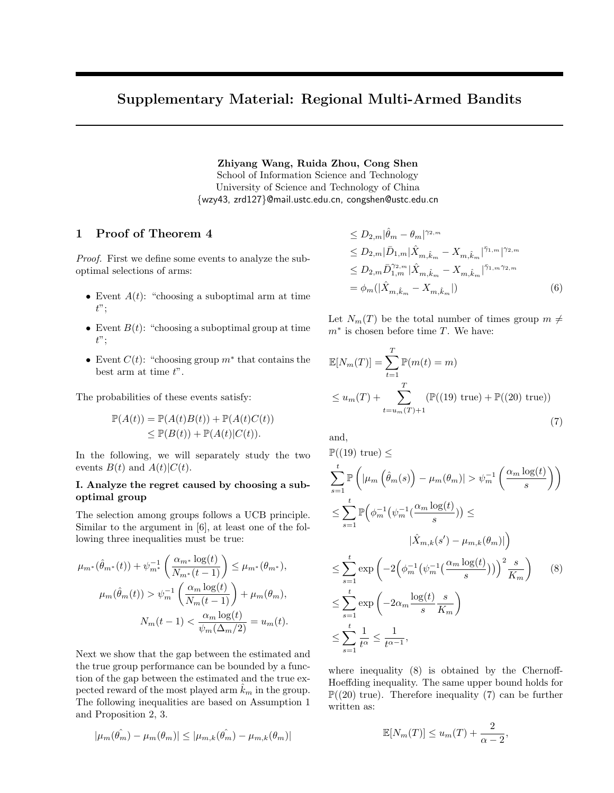# Supplementary Material: Regional Multi-Armed Bandits

Zhiyang Wang, Ruida Zhou, Cong Shen

School of Information Science and Technology University of Science and Technology of China {wzy43, zrd127}@mail.ustc.edu.cn, congshen@ustc.edu.cn

# 1 Proof of Theorem 4

Proof. First we define some events to analyze the suboptimal selections of arms:

- Event  $A(t)$ : "choosing a suboptimal arm at time  $t$ ";
- Event  $B(t)$ : "choosing a suboptimal group at time  $t$ ";
- Event  $C(t)$ : "choosing group  $m^*$  that contains the best arm at time  $t$ ".

The probabilities of these events satisfy:

$$
\mathbb{P}(A(t)) = \mathbb{P}(A(t)B(t)) + \mathbb{P}(A(t)C(t))
$$
  
\n
$$
\leq \mathbb{P}(B(t)) + \mathbb{P}(A(t)|C(t)).
$$

In the following, we will separately study the two events  $B(t)$  and  $A(t)|C(t)$ .

#### I. Analyze the regret caused by choosing a suboptimal group

The selection among groups follows a UCB principle. Similar to the argument in [6], at least one of the following three inequalities must be true:

$$
\mu_{m^*}(\hat{\theta}_{m^*}(t)) + \psi_{m^*}^{-1}\left(\frac{\alpha_{m^*} \log(t)}{N_{m^*}(t-1)}\right) \leq \mu_{m^*}(\theta_{m^*}),
$$

$$
\mu_m(\hat{\theta}_m(t)) > \psi_m^{-1}\left(\frac{\alpha_m \log(t)}{N_m(t-1)}\right) + \mu_m(\theta_m),
$$

$$
N_m(t-1) < \frac{\alpha_m \log(t)}{\psi_m(\Delta_m/2)} = u_m(t).
$$

Next we show that the gap between the estimated and the true group performance can be bounded by a function of the gap between the estimated and the true expected reward of the most played arm  $k_m$  in the group. The following inequalities are based on Assumption 1 and Proposition 2, 3.

$$
|\mu_m(\hat{\theta_m}) - \mu_m(\theta_m)| \leq |\mu_{m,k}(\hat{\theta_m}) - \mu_{m,k}(\theta_m)|
$$

$$
\leq D_{2,m} |\hat{\theta}_m - \theta_m|^{\gamma_{2,m}} \leq D_{2,m} |\bar{D}_{1,m}| \hat{X}_{m,\hat{k}_m} - X_{m,\hat{k}_m}|^{\bar{\gamma}_{1,m}}|^{\gamma_{2,m}} \leq D_{2,m} \bar{D}_{1,m}^{\gamma_{2,m}} |\hat{X}_{m,\hat{k}_m} - X_{m,\hat{k}_m}|^{\bar{\gamma}_{1,m}\gamma_{2,m}} = \phi_m(|\hat{X}_{m,\hat{k}_m} - X_{m,\hat{k}_m}|)
$$
(6)

Let  $N_m(T)$  be the total number of times group  $m \neq$  $m^*$  is chosen before time T. We have:

$$
\mathbb{E}[N_m(T)] = \sum_{t=1}^T \mathbb{P}(m(t) = m)
$$
  
\n
$$
\leq u_m(T) + \sum_{t=u_m(T)+1}^T (\mathbb{P}((19) \text{ true}) + \mathbb{P}((20) \text{ true}))
$$
\n(7)

and,

$$
\mathbb{P}((19) \text{ true}) \le
$$
\n
$$
\sum_{s=1}^{t} \mathbb{P}\left(|\mu_m\left(\hat{\theta}_m(s)\right) - \mu_m(\theta_m)| > \psi_m^{-1}\left(\frac{\alpha_m \log(t)}{s}\right)\right)
$$
\n
$$
\leq \sum_{s=1}^{t} \mathbb{P}\left(\phi_m^{-1}\left(\psi_m^{-1}\left(\frac{\alpha_m \log(t)}{s}\right)\right) \leq
$$
\n
$$
|\hat{X}_{m,k}(s') - \mu_{m,k}(\theta_m)|\right)
$$
\n
$$
\leq \sum_{s=1}^{t} \exp\left(-2\left(\phi_m^{-1}\left(\psi_m^{-1}\left(\frac{\alpha_m \log(t)}{s}\right)\right)\right)^2 \frac{s}{K_m}\right) \qquad (8)
$$
\n
$$
\leq \sum_{s=1}^{t} \exp\left(-2\alpha_m \frac{\log(t)}{s} \frac{s}{K_m}\right)
$$
\n
$$
\leq \sum_{s=1}^{t} \frac{1}{t^{\alpha}} \leq \frac{1}{t^{\alpha-1}},
$$

where inequality (8) is obtained by the Chernoff-Hoeffding inequality. The same upper bound holds for  $\mathbb{P}((20)$  true). Therefore inequality (7) can be further written as:

$$
\mathbb{E}[N_m(T)] \le u_m(T) + \frac{2}{\alpha - 2},
$$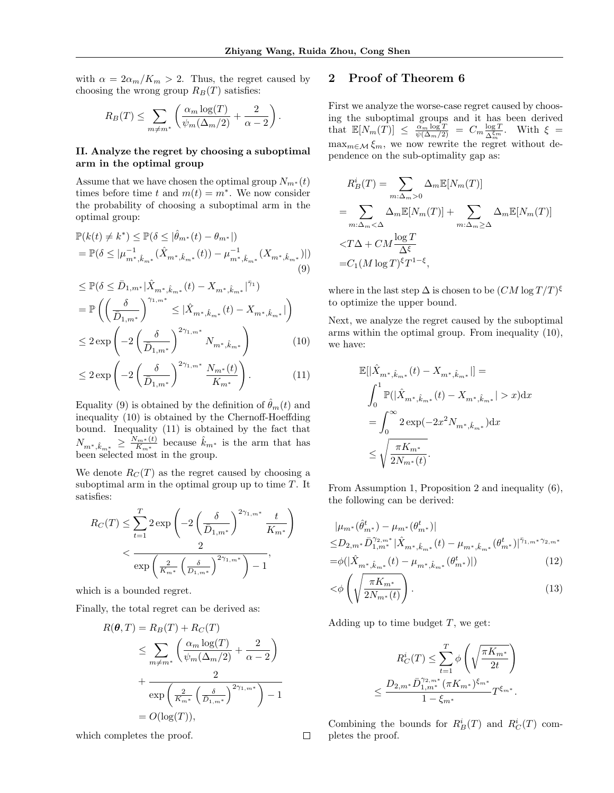.

with  $\alpha = 2\alpha_m/K_m > 2$ . Thus, the regret caused by choosing the wrong group  $R_B(T)$  satisfies:

$$
R_B(T) \le \sum_{m \neq m^*} \left( \frac{\alpha_m \log(T)}{\psi_m(\Delta_m/2)} + \frac{2}{\alpha - 2} \right)
$$

### II. Analyze the regret by choosing a suboptimal arm in the optimal group

Assume that we have chosen the optimal group  $N_{m^*}(t)$ times before time t and  $m(t) = m^*$ . We now consider the probability of choosing a suboptimal arm in the optimal group:

$$
\mathbb{P}(k(t) \neq k^*) \leq \mathbb{P}(\delta \leq |\hat{\theta}_{m^*}(t) - \theta_{m^*}|)
$$
  
= 
$$
\mathbb{P}(\delta \leq |\mu_{m^*,\hat{k}_{m^*}}^{-1}(\hat{X}_{m^*,\hat{k}_{m^*}}(t)) - \mu_{m^*,\hat{k}_{m^*}}^{-1}(X_{m^*,\hat{k}_{m^*}})|)
$$
  
(9)

$$
\leq \mathbb{P}(\delta \leq \bar{D}_{1,m^*}|\hat{X}_{m^*,\hat{k}_{m^*}}(t) - X_{m^*,\hat{k}_{m^*}}|^{\bar{\gamma}_1})
$$
\n
$$
= \mathbb{P}\left(\left(\frac{\delta}{\bar{D}_{1,m^*}}\right)^{\gamma_{1,m^*}} \leq |\hat{X}_{m^*,\hat{k}_{m^*}}(t) - X_{m^*,\hat{k}_{m^*}}|\right)
$$
\n
$$
\leq 2 \exp\left(-2\left(\frac{\delta}{\bar{D}_{1,m^*}}\right)^{2\gamma_{1,m^*}} N_{m^*,\hat{k}_{m^*}}\right) \tag{10}
$$

$$
\leq 2 \exp\left(-2\left(\frac{\delta}{\bar{D}_{1,m^*}}\right)^{2\gamma_{1,m^*}} \frac{N_{m^*}(t)}{K_{m^*}}\right). \tag{11}
$$

Equality (9) is obtained by the definition of  $\hat{\theta}_m(t)$  and inequality (10) is obtained by the Chernoff-Hoeffding bound. Inequality (11) is obtained by the fact that  $N_{m^*,\hat{k}_{m^*}} \geq \frac{N_{m^*}(t)}{K_{m^*}}$  $\frac{N_{m^*}(t)}{K_{m^*}}$  because  $\hat{k}_{m^*}$  is the arm that has been selected most in the group.

We denote  $R_C(T)$  as the regret caused by choosing a suboptimal arm in the optimal group up to time  $T$ . It satisfies:

$$
R_C(T) \le \sum_{t=1}^T 2 \exp\left(-2\left(\frac{\delta}{\bar{D}_{1,m^*}}\right)^{2\gamma_{1,m^*}} \frac{t}{K_{m^*}}\right) < \frac{2}{\exp\left(\frac{2}{K_{m^*}}\left(\frac{\delta}{\bar{D}_{1,m^*}}\right)^{2\gamma_{1,m^*}}\right) - 1},
$$

which is a bounded regret.

Finally, the total regret can be derived as:

$$
R(\theta, T) = R_B(T) + R_C(T)
$$
  
\n
$$
\leq \sum_{m \neq m^*} \left( \frac{\alpha_m \log(T)}{\psi_m(\Delta_m/2)} + \frac{2}{\alpha - 2} \right)
$$
  
\n
$$
+ \frac{2}{\exp\left(\frac{2}{K_{m^*}} \left(\frac{\delta}{D_{1,m^*}}\right)^{2\gamma_{1,m^*}}\right) - 1}
$$
  
\n
$$
= O(\log(T)),
$$

which completes the proof.

# 2 Proof of Theorem 6

First we analyze the worse-case regret caused by choosing the suboptimal groups and it has been derived that  $\mathbb{E}[N_m(T)] \leq \frac{\alpha_m \log T}{\psi(\Delta_m/2)} = C_m \frac{\log T}{\Delta_m^{\xi_m}}$  $\frac{\log T}{\Delta_m^{\xi_m}}$ . With  $\xi =$  $\max_{m \in \mathcal{M}} \xi_m$ , we now rewrite the regret without dependence on the sub-optimality gap as:

$$
R_B^i(T) = \sum_{m:\Delta_m>0} \Delta_m \mathbb{E}[N_m(T)]
$$
  
= 
$$
\sum_{m:\Delta_m<\Delta} \Delta_m \mathbb{E}[N_m(T)] + \sum_{m:\Delta_m\geq\Delta} \Delta_m \mathbb{E}[N_m(T)]
$$
  

$$
= 
$$
C_1(M \log T)^{\xi} T^{1-\xi},
$$
$$

where in the last step  $\Delta$  is chosen to be  $(CM \log T/T)^{\xi}$ to optimize the upper bound.

Next, we analyze the regret caused by the suboptimal arms within the optimal group. From inequality (10), we have:

$$
\label{eq:4.1} \begin{split} &\mathbb{E}[|\hat{X}_{m^*,\hat{k}_{m^*}}(t)-X_{m^*,\hat{k}_{m^*}}|] = \\ &\int_0^1 \mathbb{P}(|\hat{X}_{m^*,\hat{k}_{m^*}}(t)-X_{m^*,\hat{k}_{m^*}}|>x)\mathrm{d}x \\ &=\int_0^\infty 2\exp(-2x^2N_{m^*,\hat{k}_{m^*}})\mathrm{d}x \\ &\leq \sqrt{\frac{\pi K_{m^*}}{2N_{m^*}(t)}}. \end{split}
$$

From Assumption 1, Proposition 2 and inequality (6), the following can be derived:

$$
|\mu_{m^*}(\hat{\theta}_{m^*}^t) - \mu_{m^*}(\theta_{m^*}^t)|
$$
  
\n
$$
\leq D_{2,m^*} \bar{D}_{1,m^*}^{\gamma_{2,m^*}} |\hat{X}_{m^*,\hat{k}_{m^*}}(t) - \mu_{m^*,\hat{k}_{m^*}}(\theta_{m^*}^t)|^{\bar{\gamma}_{1,m^*}\gamma_{2,m^*}}
$$
  
\n
$$
= \phi(|\hat{X}_{m^*,\hat{k}_{m^*}}(t) - \mu_{m^*,\hat{k}_{m^*}}(\theta_{m^*}^t)|)
$$
\n(12)

$$
\langle \phi \left( \sqrt{\frac{\pi K_{m^*}}{2N_{m^*}(t)}} \right). \tag{13}
$$

Adding up to time budget  $T$ , we get:

$$
R_C^i(T) \leq \sum_{t=1}^T \phi \left( \sqrt{\frac{\pi K_{m^*}}{2t}} \right)
$$
  

$$
\leq \frac{D_{2,m^*} \bar{D}_{1,m^*}^{\gamma_{2,m^*}} (\pi K_{m^*})^{\xi_{m^*}}}{1 - \xi_{m^*}} T^{\xi_{m^*}}.
$$

Combining the bounds for  $R_B^i(T)$  and  $R_C^i(T)$  completes the proof.

 $\Box$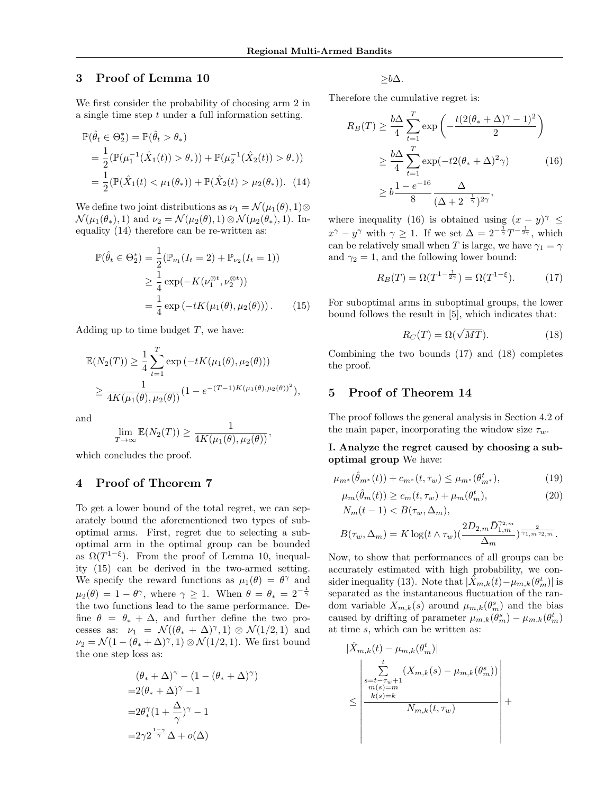# 3 Proof of Lemma 10

We first consider the probability of choosing arm 2 in a single time step  $t$  under a full information setting.

$$
\mathbb{P}(\hat{\theta}_t \in \Theta_2^*) = \mathbb{P}(\hat{\theta}_t > \theta_*)
$$
  
=  $\frac{1}{2} (\mathbb{P}(\mu_1^{-1}(\hat{X}_1(t)) > \theta_*)) + \mathbb{P}(\mu_2^{-1}(\hat{X}_2(t)) > \theta_*))$   
=  $\frac{1}{2} (\mathbb{P}(\hat{X}_1(t) < \mu_1(\theta_*)) + \mathbb{P}(\hat{X}_2(t) > \mu_2(\theta_*)).$  (14)

We define two joint distributions as  $\nu_1 = \mathcal{N}(\mu_1(\theta), 1) \otimes$  $\mathcal{N}(\mu_1(\theta_*), 1)$  and  $\nu_2 = \mathcal{N}(\mu_2(\theta), 1) \otimes \mathcal{N}(\mu_2(\theta_*), 1)$ . Inequality (14) therefore can be re-written as:

$$
\mathbb{P}(\hat{\theta}_t \in \Theta_2^*) = \frac{1}{2} (\mathbb{P}_{\nu_1} (I_t = 2) + \mathbb{P}_{\nu_2} (I_t = 1))
$$
  
\n
$$
\geq \frac{1}{4} \exp(-K(\nu_1^{\otimes t}, \nu_2^{\otimes t}))
$$
  
\n
$$
= \frac{1}{4} \exp(-tK(\mu_1(\theta), \mu_2(\theta))).
$$
 (15)

Adding up to time budget  $T$ , we have:

$$
\mathbb{E}(N_2(T)) \ge \frac{1}{4} \sum_{t=1}^T \exp(-tK(\mu_1(\theta), \mu_2(\theta)))
$$
  
 
$$
\ge \frac{1}{4K(\mu_1(\theta), \mu_2(\theta))} (1 - e^{-(T-1)K(\mu_1(\theta), \mu_2(\theta))^2}),
$$

and

$$
\lim_{T \to \infty} \mathbb{E}(N_2(T)) \ge \frac{1}{4K(\mu_1(\theta), \mu_2(\theta))},
$$

which concludes the proof.

## 4 Proof of Theorem 7

To get a lower bound of the total regret, we can separately bound the aforementioned two types of suboptimal arms. First, regret due to selecting a suboptimal arm in the optimal group can be bounded as  $\Omega(T^{1-\xi})$ . From the proof of Lemma 10, inequality (15) can be derived in the two-armed setting. We specify the reward functions as  $\mu_1(\theta) = \theta^{\gamma}$  and  $\mu_2(\theta) = 1 - \theta^\gamma$ , where  $\gamma \geq 1$ . When  $\theta = \theta_* = 2^{-\frac{1}{\gamma}}$ the two functions lead to the same performance. Define  $\theta = \theta_* + \Delta$ , and further define the two processes as:  $\nu_1 = \mathcal{N}((\theta_* + \Delta)^\gamma, 1) \otimes \mathcal{N}(1/2, 1)$  and  $\nu_2 = \mathcal{N}(1 - (\theta_* + \Delta)^\gamma, 1) \otimes \mathcal{N}(1/2, 1)$ . We first bound the one step loss as:

$$
(\theta_* + \Delta)^\gamma - (1 - (\theta_* + \Delta)^\gamma)
$$
  
=2(\theta\_\* + \Delta)^\gamma - 1  
=2\theta\_\*^\gamma (1 + \frac{\Delta}{\gamma})^\gamma - 1  
=2\gamma 2^{\frac{1-\gamma}{\gamma}} \Delta + o(\Delta)

 $> b\Delta$ .

Therefore the cumulative regret is:

$$
R_B(T) \ge \frac{b\Delta}{4} \sum_{t=1}^T \exp\left(-\frac{t(2(\theta_* + \Delta)^\gamma - 1)^2}{2}\right)
$$
  
 
$$
\ge \frac{b\Delta}{4} \sum_{t=1}^T \exp(-t2(\theta_* + \Delta)^2 \gamma) \tag{16}
$$
  
 
$$
\ge b \frac{1 - e^{-16}}{8} \frac{\Delta}{(\Delta + 2^{-\frac{1}{\gamma}})^{2\gamma}},
$$

where inequality (16) is obtained using  $(x - y)^{\gamma} \leq$  $x^{\gamma} - y^{\gamma}$  with  $\gamma \geq 1$ . If we set  $\Delta = 2^{-\frac{1}{\gamma}} T^{-\frac{1}{2\gamma}}$ , which can be relatively small when T is large, we have  $\gamma_1 = \gamma$ and  $\gamma_2 = 1$ , and the following lower bound:

$$
R_B(T) = \Omega(T^{1 - \frac{1}{2\gamma}}) = \Omega(T^{1 - \xi}).
$$
 (17)

For suboptimal arms in suboptimal groups, the lower bound follows the result in [5], which indicates that:

$$
R_C(T) = \Omega(\sqrt{MT}).
$$
\n(18)

Combining the two bounds (17) and (18) completes the proof.

# 5 Proof of Theorem 14

The proof follows the general analysis in Section 4.2 of the main paper, incorporating the window size  $\tau_w$ .

### I. Analyze the regret caused by choosing a suboptimal group We have:

$$
\mu_{m^*}(\hat{\theta}_{m^*}(t)) + c_{m^*}(t, \tau_w) \le \mu_{m^*}(\theta_{m^*}^t),\tag{19}
$$

$$
\mu_m(\hat{\theta}_m(t)) \ge c_m(t, \tau_w) + \mu_m(\theta_m^t),
$$
\n
$$
N_m(t-1) < B(\tau_m, \Lambda_m).
$$
\n
$$
(20)
$$

$$
B(\tau_w, \Delta_m) = K \log(t \wedge \tau_w) \left( \frac{2D_{2,m} \bar{D}_{1,m}^{\gamma_{2,m}}}{\Delta_m} \right)^{\bar{\gamma}_{1,m} \gamma_{2,m}}.
$$

Now, to show that performances of all groups can be accurately estimated with high probability, we consider inequality (13). Note that  $|\hat{X}_{m,k}(t) - \mu_{m,k}(\theta_m^t)|$  is separated as the instantaneous fluctuation of the random variable  $X_{m,k}(s)$  around  $\mu_{m,k}(\theta_m^s)$  and the bias caused by drifting of parameter  $\mu_{m,k}(\theta_m^s) - \mu_{m,k}(\theta_m^t)$ at time s, which can be written as:

$$
|\hat{X}_{m,k}(t) - \mu_{m,k}(\theta_m^t)|
$$
  
\n
$$
\leq \frac{\sum_{\substack{s=t-v+1 \\ m(s)=m \\ k(s)=k}}^{t} (X_{m,k}(s) - \mu_{m,k}(\theta_m^s))}{N_{m,k}(t, \tau_w)}
$$